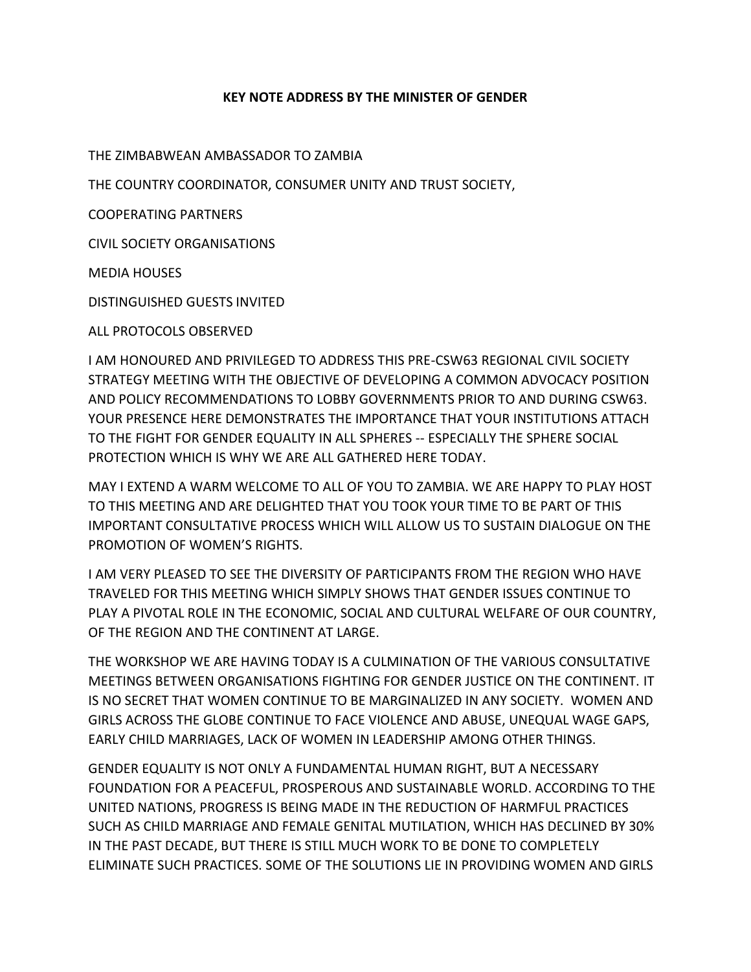## **KEY NOTE ADDRESS BY THE MINISTER OF GENDER**

THE ZIMBABWEAN AMBASSADOR TO ZAMBIA

THE COUNTRY COORDINATOR, CONSUMER UNITY AND TRUST SOCIETY,

COOPERATING PARTNERS

CIVIL SOCIETY ORGANISATIONS

MEDIA HOUSES

DISTINGUISHED GUESTS INVITED

ALL PROTOCOLS OBSERVED

I AM HONOURED AND PRIVILEGED TO ADDRESS THIS PRE-CSW63 REGIONAL CIVIL SOCIETY STRATEGY MEETING WITH THE OBJECTIVE OF DEVELOPING A COMMON ADVOCACY POSITION AND POLICY RECOMMENDATIONS TO LOBBY GOVERNMENTS PRIOR TO AND DURING CSW63. YOUR PRESENCE HERE DEMONSTRATES THE IMPORTANCE THAT YOUR INSTITUTIONS ATTACH TO THE FIGHT FOR GENDER EQUALITY IN ALL SPHERES -- ESPECIALLY THE SPHERE SOCIAL PROTECTION WHICH IS WHY WE ARE ALL GATHERED HERE TODAY.

MAY I EXTEND A WARM WELCOME TO ALL OF YOU TO ZAMBIA. WE ARE HAPPY TO PLAY HOST TO THIS MEETING AND ARE DELIGHTED THAT YOU TOOK YOUR TIME TO BE PART OF THIS IMPORTANT CONSULTATIVE PROCESS WHICH WILL ALLOW US TO SUSTAIN DIALOGUE ON THE PROMOTION OF WOMEN'S RIGHTS.

I AM VERY PLEASED TO SEE THE DIVERSITY OF PARTICIPANTS FROM THE REGION WHO HAVE TRAVELED FOR THIS MEETING WHICH SIMPLY SHOWS THAT GENDER ISSUES CONTINUE TO PLAY A PIVOTAL ROLE IN THE ECONOMIC, SOCIAL AND CULTURAL WELFARE OF OUR COUNTRY, OF THE REGION AND THE CONTINENT AT LARGE.

THE WORKSHOP WE ARE HAVING TODAY IS A CULMINATION OF THE VARIOUS CONSULTATIVE MEETINGS BETWEEN ORGANISATIONS FIGHTING FOR GENDER JUSTICE ON THE CONTINENT. IT IS NO SECRET THAT WOMEN CONTINUE TO BE MARGINALIZED IN ANY SOCIETY. WOMEN AND GIRLS ACROSS THE GLOBE CONTINUE TO FACE VIOLENCE AND ABUSE, UNEQUAL WAGE GAPS, EARLY CHILD MARRIAGES, LACK OF WOMEN IN LEADERSHIP AMONG OTHER THINGS.

GENDER EQUALITY IS NOT ONLY A FUNDAMENTAL HUMAN RIGHT, BUT A NECESSARY FOUNDATION FOR A PEACEFUL, PROSPEROUS AND SUSTAINABLE WORLD. ACCORDING TO THE UNITED NATIONS, PROGRESS IS BEING MADE IN THE REDUCTION OF HARMFUL PRACTICES SUCH AS CHILD MARRIAGE AND FEMALE GENITAL MUTILATION, WHICH HAS DECLINED BY 30% IN THE PAST DECADE, BUT THERE IS STILL MUCH WORK TO BE DONE TO COMPLETELY ELIMINATE SUCH PRACTICES. SOME OF THE SOLUTIONS LIE IN PROVIDING WOMEN AND GIRLS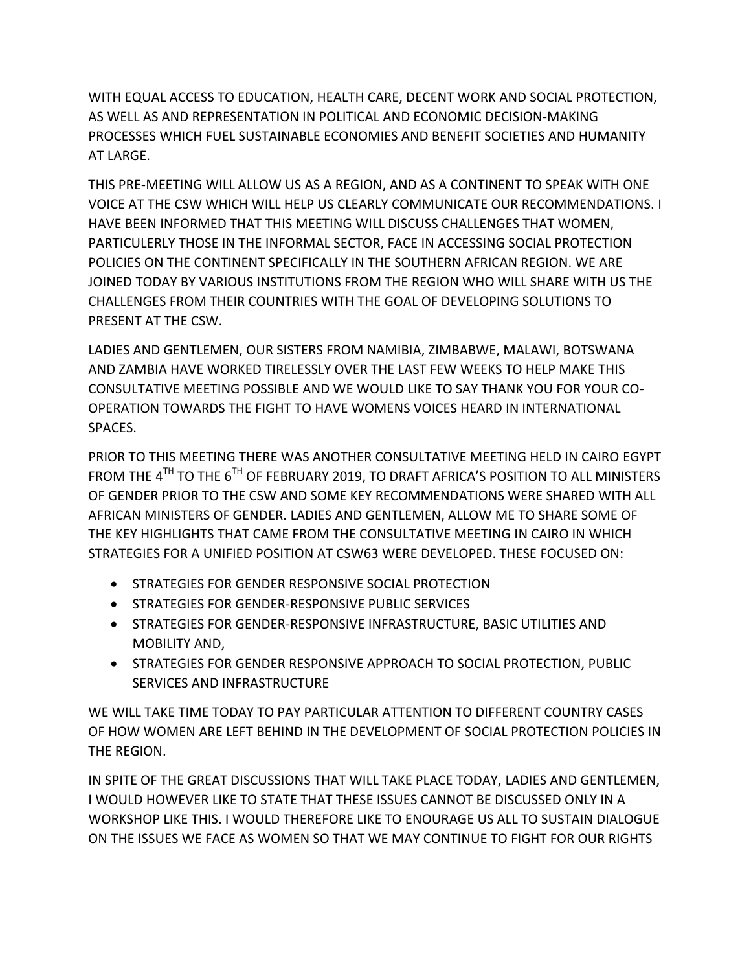WITH EQUAL ACCESS TO EDUCATION, HEALTH CARE, DECENT WORK AND SOCIAL PROTECTION, AS WELL AS AND REPRESENTATION IN POLITICAL AND ECONOMIC DECISION-MAKING PROCESSES WHICH FUEL SUSTAINABLE ECONOMIES AND BENEFIT SOCIETIES AND HUMANITY AT LARGE.

THIS PRE-MEETING WILL ALLOW US AS A REGION, AND AS A CONTINENT TO SPEAK WITH ONE VOICE AT THE CSW WHICH WILL HELP US CLEARLY COMMUNICATE OUR RECOMMENDATIONS. I HAVE BEEN INFORMED THAT THIS MEETING WILL DISCUSS CHALLENGES THAT WOMEN, PARTICULERLY THOSE IN THE INFORMAL SECTOR, FACE IN ACCESSING SOCIAL PROTECTION POLICIES ON THE CONTINENT SPECIFICALLY IN THE SOUTHERN AFRICAN REGION. WE ARE JOINED TODAY BY VARIOUS INSTITUTIONS FROM THE REGION WHO WILL SHARE WITH US THE CHALLENGES FROM THEIR COUNTRIES WITH THE GOAL OF DEVELOPING SOLUTIONS TO PRESENT AT THE CSW.

LADIES AND GENTLEMEN, OUR SISTERS FROM NAMIBIA, ZIMBABWE, MALAWI, BOTSWANA AND ZAMBIA HAVE WORKED TIRELESSLY OVER THE LAST FEW WEEKS TO HELP MAKE THIS CONSULTATIVE MEETING POSSIBLE AND WE WOULD LIKE TO SAY THANK YOU FOR YOUR CO-OPERATION TOWARDS THE FIGHT TO HAVE WOMENS VOICES HEARD IN INTERNATIONAL SPACES.

PRIOR TO THIS MEETING THERE WAS ANOTHER CONSULTATIVE MEETING HELD IN CAIRO EGYPT FROM THE 4<sup>TH</sup> TO THE 6<sup>TH</sup> OF FEBRUARY 2019, TO DRAFT AFRICA'S POSITION TO ALL MINISTERS OF GENDER PRIOR TO THE CSW AND SOME KEY RECOMMENDATIONS WERE SHARED WITH ALL AFRICAN MINISTERS OF GENDER. LADIES AND GENTLEMEN, ALLOW ME TO SHARE SOME OF THE KEY HIGHLIGHTS THAT CAME FROM THE CONSULTATIVE MEETING IN CAIRO IN WHICH STRATEGIES FOR A UNIFIED POSITION AT CSW63 WERE DEVELOPED. THESE FOCUSED ON:

- **STRATEGIES FOR GENDER RESPONSIVE SOCIAL PROTECTION**
- STRATEGIES FOR GENDER-RESPONSIVE PUBLIC SERVICES
- **STRATEGIES FOR GENDER-RESPONSIVE INFRASTRUCTURE, BASIC UTILITIES AND** MOBILITY AND,
- **STRATEGIES FOR GENDER RESPONSIVE APPROACH TO SOCIAL PROTECTION, PUBLIC** SERVICES AND INFRASTRUCTURE

WE WILL TAKE TIME TODAY TO PAY PARTICULAR ATTENTION TO DIFFERENT COUNTRY CASES OF HOW WOMEN ARE LEFT BEHIND IN THE DEVELOPMENT OF SOCIAL PROTECTION POLICIES IN THE REGION.

IN SPITE OF THE GREAT DISCUSSIONS THAT WILL TAKE PLACE TODAY, LADIES AND GENTLEMEN, I WOULD HOWEVER LIKE TO STATE THAT THESE ISSUES CANNOT BE DISCUSSED ONLY IN A WORKSHOP LIKE THIS. I WOULD THEREFORE LIKE TO ENOURAGE US ALL TO SUSTAIN DIALOGUE ON THE ISSUES WE FACE AS WOMEN SO THAT WE MAY CONTINUE TO FIGHT FOR OUR RIGHTS